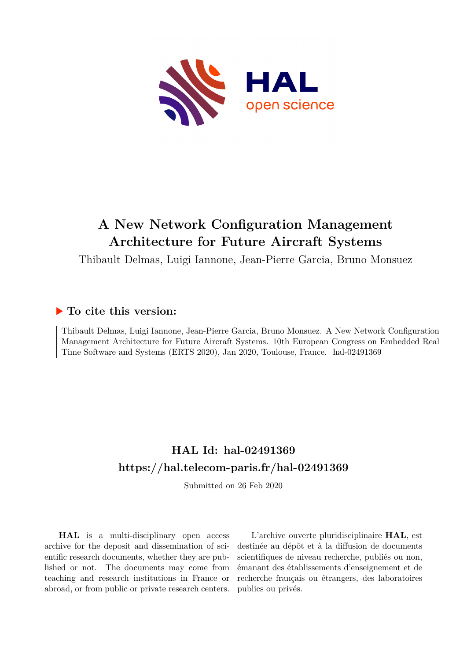

## **A New Network Configuration Management Architecture for Future Aircraft Systems**

Thibault Delmas, Luigi Iannone, Jean-Pierre Garcia, Bruno Monsuez

### **To cite this version:**

Thibault Delmas, Luigi Iannone, Jean-Pierre Garcia, Bruno Monsuez. A New Network Configuration Management Architecture for Future Aircraft Systems. 10th European Congress on Embedded Real Time Software and Systems (ERTS 2020), Jan 2020, Toulouse, France. hal-02491369

## **HAL Id: hal-02491369 <https://hal.telecom-paris.fr/hal-02491369>**

Submitted on 26 Feb 2020

**HAL** is a multi-disciplinary open access archive for the deposit and dissemination of scientific research documents, whether they are published or not. The documents may come from teaching and research institutions in France or abroad, or from public or private research centers.

L'archive ouverte pluridisciplinaire **HAL**, est destinée au dépôt et à la diffusion de documents scientifiques de niveau recherche, publiés ou non, émanant des établissements d'enseignement et de recherche français ou étrangers, des laboratoires publics ou privés.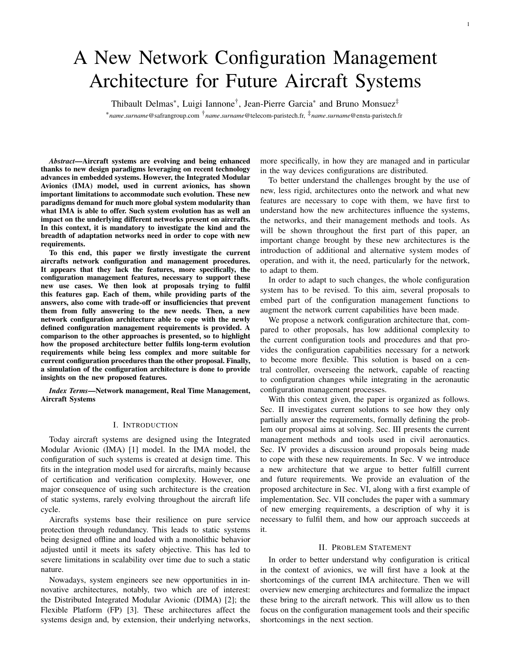# A New Network Configuration Management Architecture for Future Aircraft Systems

Thibault Delmas\*, Luigi Iannone<sup>†</sup>, Jean-Pierre Garcia<sup>\*</sup> and Bruno Monsuez<sup>‡</sup>

∗*name*.*surname*@safrangroup.com †*name*.*surname*@telecom-paristech.fr, ‡*name*.*surname*@ensta-paristech.fr

*Abstract*—Aircraft systems are evolving and being enhanced thanks to new design paradigms leveraging on recent technology advances in embedded systems. However, the Integrated Modular Avionics (IMA) model, used in current avionics, has shown important limitations to accommodate such evolution. These new paradigms demand for much more global system modularity than what IMA is able to offer. Such system evolution has as well an impact on the underlying different networks present on aircrafts. In this context, it is mandatory to investigate the kind and the breadth of adaptation networks need in order to cope with new requirements.

To this end, this paper we firstly investigate the current aircrafts network configuration and management procedures. It appears that they lack the features, more specifically, the configuration management features, necessary to support these new use cases. We then look at proposals trying to fulfil this features gap. Each of them, while providing parts of the answers, also come with trade-off or insufficiencies that prevent them from fully answering to the new needs. Then, a new network configuration architecture able to cope with the newly defined configuration management requirements is provided. A comparison to the other approaches is presented, so to highlight how the proposed architecture better fulfils long-term evolution requirements while being less complex and more suitable for current configuration procedures than the other proposal. Finally, a simulation of the configuration architecture is done to provide insights on the new proposed features.

*Index Terms*—Network management, Real Time Management, Aircraft Systems

#### I. INTRODUCTION

Today aircraft systems are designed using the Integrated Modular Avionic (IMA) [1] model. In the IMA model, the configuration of such systems is created at design time. This fits in the integration model used for aircrafts, mainly because of certification and verification complexity. However, one major consequence of using such architecture is the creation of static systems, rarely evolving throughout the aircraft life cycle.

Aircrafts systems base their resilience on pure service protection through redundancy. This leads to static systems being designed offline and loaded with a monolithic behavior adjusted until it meets its safety objective. This has led to severe limitations in scalability over time due to such a static nature.

Nowadays, system engineers see new opportunities in innovative architectures, notably, two which are of interest: the Distributed Integrated Modular Avionic (DIMA) [2]; the Flexible Platform (FP) [3]. These architectures affect the systems design and, by extension, their underlying networks, more specifically, in how they are managed and in particular in the way devices configurations are distributed.

To better understand the challenges brought by the use of new, less rigid, architectures onto the network and what new features are necessary to cope with them, we have first to understand how the new architectures influence the systems, the networks, and their management methods and tools. As will be shown throughout the first part of this paper, an important change brought by these new architectures is the introduction of additional and alternative system modes of operation, and with it, the need, particularly for the network, to adapt to them.

In order to adapt to such changes, the whole configuration system has to be revised. To this aim, several proposals to embed part of the configuration management functions to augment the network current capabilities have been made.

We propose a network configuration architecture that, compared to other proposals, has low additional complexity to the current configuration tools and procedures and that provides the configuration capabilities necessary for a network to become more flexible. This solution is based on a central controller, overseeing the network, capable of reacting to configuration changes while integrating in the aeronautic configuration management processes.

With this context given, the paper is organized as follows. Sec. II investigates current solutions to see how they only partially answer the requirements, formally defining the problem our proposal aims at solving. Sec. III presents the current management methods and tools used in civil aeronautics. Sec. IV provides a discussion around proposals being made to cope with these new requirements. In Sec. V we introduce a new architecture that we argue to better fulfill current and future requirements. We provide an evaluation of the proposed architecture in Sec. VI, along with a first example of implementation. Sec. VII concludes the paper with a summary of new emerging requirements, a description of why it is necessary to fulfil them, and how our approach succeeds at it.

#### II. PROBLEM STATEMENT

In order to better understand why configuration is critical in the context of avionics, we will first have a look at the shortcomings of the current IMA architecture. Then we will overview new emerging architectures and formalize the impact these bring to the aircraft network. This will allow us to then focus on the configuration management tools and their specific shortcomings in the next section.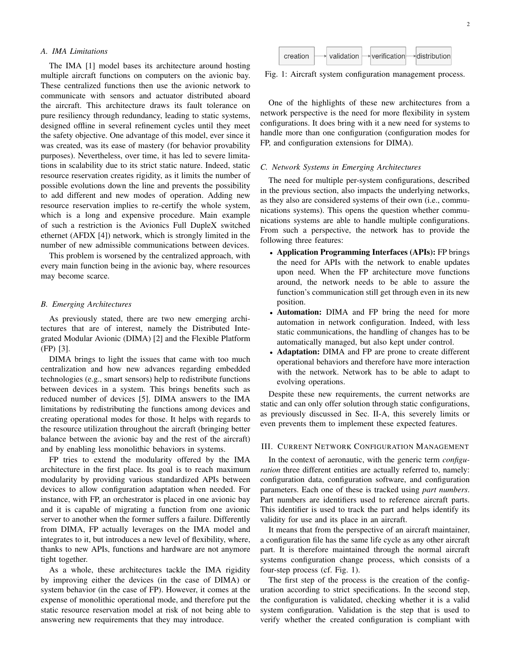#### *A. IMA Limitations*

The IMA [1] model bases its architecture around hosting multiple aircraft functions on computers on the avionic bay. These centralized functions then use the avionic network to communicate with sensors and actuator distributed aboard the aircraft. This architecture draws its fault tolerance on pure resiliency through redundancy, leading to static systems, designed offline in several refinement cycles until they meet the safety objective. One advantage of this model, ever since it was created, was its ease of mastery (for behavior provability purposes). Nevertheless, over time, it has led to severe limitations in scalability due to its strict static nature. Indeed, static resource reservation creates rigidity, as it limits the number of possible evolutions down the line and prevents the possibility to add different and new modes of operation. Adding new resource reservation implies to re-certify the whole system, which is a long and expensive procedure. Main example of such a restriction is the Avionics Full DupleX switched ethernet (AFDX [4]) network, which is strongly limited in the number of new admissible communications between devices.

This problem is worsened by the centralized approach, with every main function being in the avionic bay, where resources may become scarce.

#### *B. Emerging Architectures*

As previously stated, there are two new emerging architectures that are of interest, namely the Distributed Integrated Modular Avionic (DIMA) [2] and the Flexible Platform (FP) [3].

DIMA brings to light the issues that came with too much centralization and how new advances regarding embedded technologies (e.g., smart sensors) help to redistribute functions between devices in a system. This brings benefits such as reduced number of devices [5]. DIMA answers to the IMA limitations by redistributing the functions among devices and creating operational modes for those. It helps with regards to the resource utilization throughout the aircraft (bringing better balance between the avionic bay and the rest of the aircraft) and by enabling less monolithic behaviors in systems.

FP tries to extend the modularity offered by the IMA architecture in the first place. Its goal is to reach maximum modularity by providing various standardized APIs between devices to allow configuration adaptation when needed. For instance, with FP, an orchestrator is placed in one avionic bay and it is capable of migrating a function from one avionic server to another when the former suffers a failure. Differently from DIMA, FP actually leverages on the IMA model and integrates to it, but introduces a new level of flexibility, where, thanks to new APIs, functions and hardware are not anymore tight together.

As a whole, these architectures tackle the IMA rigidity by improving either the devices (in the case of DIMA) or system behavior (in the case of FP). However, it comes at the expense of monolithic operational mode, and therefore put the static resource reservation model at risk of not being able to answering new requirements that they may introduce.



Fig. 1: Aircraft system configuration management process.

One of the highlights of these new architectures from a network perspective is the need for more flexibility in system configurations. It does bring with it a new need for systems to handle more than one configuration (configuration modes for FP, and configuration extensions for DIMA).

#### *C. Network Systems in Emerging Architectures*

The need for multiple per-system configurations, described in the previous section, also impacts the underlying networks, as they also are considered systems of their own (i.e., communications systems). This opens the question whether communications systems are able to handle multiple configurations. From such a perspective, the network has to provide the following three features:

- Application Programming Interfaces (APIs): FP brings the need for APIs with the network to enable updates upon need. When the FP architecture move functions around, the network needs to be able to assure the function's communication still get through even in its new position.
- Automation: DIMA and FP bring the need for more automation in network configuration. Indeed, with less static communications, the handling of changes has to be automatically managed, but also kept under control.
- Adaptation: DIMA and FP are prone to create different operational behaviors and therefore have more interaction with the network. Network has to be able to adapt to evolving operations.

Despite these new requirements, the current networks are static and can only offer solution through static configurations, as previously discussed in Sec. II-A, this severely limits or even prevents them to implement these expected features.

#### III. CURRENT NETWORK CONFIGURATION MANAGEMENT

In the context of aeronautic, with the generic term *configuration* three different entities are actually referred to, namely: configuration data, configuration software, and configuration parameters. Each one of these is tracked using *part numbers*. Part numbers are identifiers used to reference aircraft parts. This identifier is used to track the part and helps identify its validity for use and its place in an aircraft.

It means that from the perspective of an aircraft maintainer, a configuration file has the same life cycle as any other aircraft part. It is therefore maintained through the normal aircraft systems configuration change process, which consists of a four-step process (cf. Fig. 1).

The first step of the process is the creation of the configuration according to strict specifications. In the second step, the configuration is validated, checking whether it is a valid system configuration. Validation is the step that is used to verify whether the created configuration is compliant with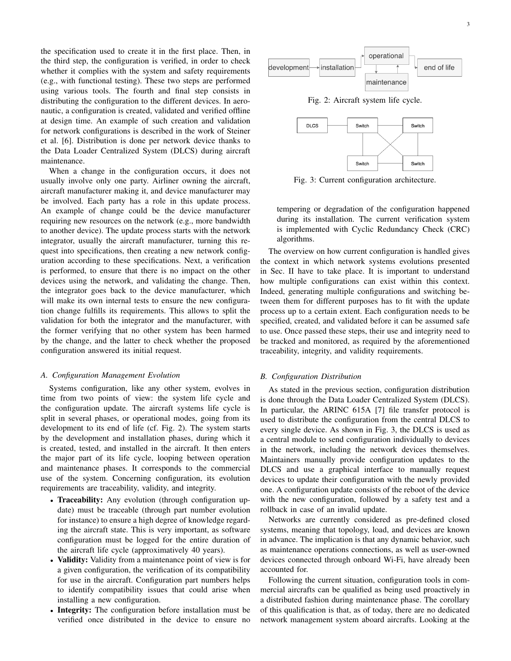the specification used to create it in the first place. Then, in the third step, the configuration is verified, in order to check whether it complies with the system and safety requirements (e.g., with functional testing). These two steps are performed using various tools. The fourth and final step consists in distributing the configuration to the different devices. In aeronautic, a configuration is created, validated and verified offline at design time. An example of such creation and validation for network configurations is described in the work of Steiner et al. [6]. Distribution is done per network device thanks to the Data Loader Centralized System (DLCS) during aircraft maintenance.

When a change in the configuration occurs, it does not usually involve only one party. Airliner owning the aircraft, aircraft manufacturer making it, and device manufacturer may be involved. Each party has a role in this update process. An example of change could be the device manufacturer requiring new resources on the network (e.g., more bandwidth to another device). The update process starts with the network integrator, usually the aircraft manufacturer, turning this request into specifications, then creating a new network configuration according to these specifications. Next, a verification is performed, to ensure that there is no impact on the other devices using the network, and validating the change. Then, the integrator goes back to the device manufacturer, which will make its own internal tests to ensure the new configuration change fulfills its requirements. This allows to split the validation for both the integrator and the manufacturer, with the former verifying that no other system has been harmed by the change, and the latter to check whether the proposed configuration answered its initial request.

#### *A. Configuration Management Evolution*

Systems configuration, like any other system, evolves in time from two points of view: the system life cycle and the configuration update. The aircraft systems life cycle is split in several phases, or operational modes, going from its development to its end of life (cf. Fig. 2). The system starts by the development and installation phases, during which it is created, tested, and installed in the aircraft. It then enters the major part of its life cycle, looping between operation and maintenance phases. It corresponds to the commercial use of the system. Concerning configuration, its evolution requirements are traceability, validity, and integrity.

- Traceability: Any evolution (through configuration update) must be traceable (through part number evolution for instance) to ensure a high degree of knowledge regarding the aircraft state. This is very important, as software configuration must be logged for the entire duration of the aircraft life cycle (approximatively 40 years).
- Validity: Validity from a maintenance point of view is for a given configuration, the verification of its compatibility for use in the aircraft. Configuration part numbers helps to identify compatibility issues that could arise when installing a new configuration.
- Integrity: The configuration before installation must be verified once distributed in the device to ensure no



Fig. 2: Aircraft system life cycle.



Fig. 3: Current configuration architecture.

tempering or degradation of the configuration happened during its installation. The current verification system is implemented with Cyclic Redundancy Check (CRC) algorithms.

The overview on how current configuration is handled gives the context in which network systems evolutions presented in Sec. II have to take place. It is important to understand how multiple configurations can exist within this context. Indeed, generating multiple configurations and switching between them for different purposes has to fit with the update process up to a certain extent. Each configuration needs to be specified, created, and validated before it can be assumed safe to use. Once passed these steps, their use and integrity need to be tracked and monitored, as required by the aforementioned traceability, integrity, and validity requirements.

#### *B. Configuration Distribution*

As stated in the previous section, configuration distribution is done through the Data Loader Centralized System (DLCS). In particular, the ARINC 615A [7] file transfer protocol is used to distribute the configuration from the central DLCS to every single device. As shown in Fig. 3, the DLCS is used as a central module to send configuration individually to devices in the network, including the network devices themselves. Maintainers manually provide configuration updates to the DLCS and use a graphical interface to manually request devices to update their configuration with the newly provided one. A configuration update consists of the reboot of the device with the new configuration, followed by a safety test and a rollback in case of an invalid update.

Networks are currently considered as pre-defined closed systems, meaning that topology, load, and devices are known in advance. The implication is that any dynamic behavior, such as maintenance operations connections, as well as user-owned devices connected through onboard Wi-Fi, have already been accounted for.

Following the current situation, configuration tools in commercial aircrafts can be qualified as being used proactively in a distributed fashion during maintenance phase. The corollary of this qualification is that, as of today, there are no dedicated network management system aboard aircrafts. Looking at the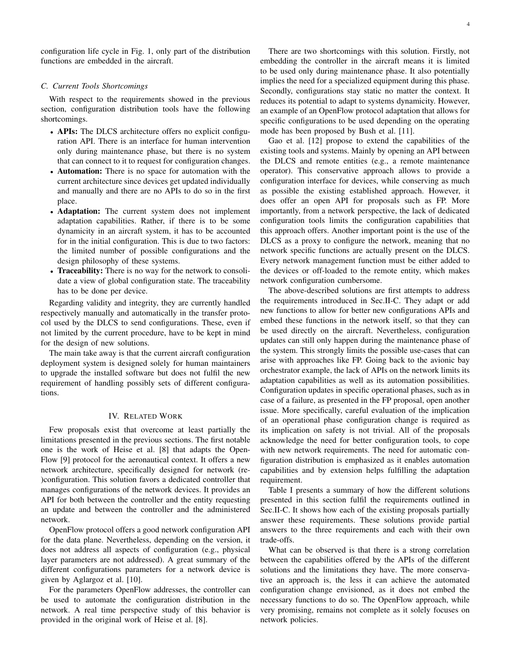configuration life cycle in Fig. 1, only part of the distribution functions are embedded in the aircraft.

#### *C. Current Tools Shortcomings*

With respect to the requirements showed in the previous section, configuration distribution tools have the following shortcomings.

- APIs: The DLCS architecture offers no explicit configuration API. There is an interface for human intervention only during maintenance phase, but there is no system that can connect to it to request for configuration changes.
- Automation: There is no space for automation with the current architecture since devices get updated individually and manually and there are no APIs to do so in the first place.
- Adaptation: The current system does not implement adaptation capabilities. Rather, if there is to be some dynamicity in an aircraft system, it has to be accounted for in the initial configuration. This is due to two factors: the limited number of possible configurations and the design philosophy of these systems.
- Traceability: There is no way for the network to consolidate a view of global configuration state. The traceability has to be done per device.

Regarding validity and integrity, they are currently handled respectively manually and automatically in the transfer protocol used by the DLCS to send configurations. These, even if not limited by the current procedure, have to be kept in mind for the design of new solutions.

The main take away is that the current aircraft configuration deployment system is designed solely for human maintainers to upgrade the installed software but does not fulfil the new requirement of handling possibly sets of different configurations.

#### IV. RELATED WORK

Few proposals exist that overcome at least partially the limitations presented in the previous sections. The first notable one is the work of Heise et al. [8] that adapts the Open-Flow [9] protocol for the aeronautical context. It offers a new network architecture, specifically designed for network (re- )configuration. This solution favors a dedicated controller that manages configurations of the network devices. It provides an API for both between the controller and the entity requesting an update and between the controller and the administered network.

OpenFlow protocol offers a good network configuration API for the data plane. Nevertheless, depending on the version, it does not address all aspects of configuration (e.g., physical layer parameters are not addressed). A great summary of the different configurations parameters for a network device is given by Aglargoz et al. [10].

For the parameters OpenFlow addresses, the controller can be used to automate the configuration distribution in the network. A real time perspective study of this behavior is provided in the original work of Heise et al. [8].

There are two shortcomings with this solution. Firstly, not embedding the controller in the aircraft means it is limited to be used only during maintenance phase. It also potentially implies the need for a specialized equipment during this phase. Secondly, configurations stay static no matter the context. It reduces its potential to adapt to systems dynamicity. However, an example of an OpenFlow protocol adaptation that allows for specific configurations to be used depending on the operating mode has been proposed by Bush et al. [11].

Gao et al. [12] propose to extend the capabilities of the existing tools and systems. Mainly by opening an API between the DLCS and remote entities (e.g., a remote maintenance operator). This conservative approach allows to provide a configuration interface for devices, while conserving as much as possible the existing established approach. However, it does offer an open API for proposals such as FP. More importantly, from a network perspective, the lack of dedicated configuration tools limits the configuration capabilities that this approach offers. Another important point is the use of the DLCS as a proxy to configure the network, meaning that no network specific functions are actually present on the DLCS. Every network management function must be either added to the devices or off-loaded to the remote entity, which makes network configuration cumbersome.

The above-described solutions are first attempts to address the requirements introduced in Sec.II-C. They adapt or add new functions to allow for better new configurations APIs and embed these functions in the network itself, so that they can be used directly on the aircraft. Nevertheless, configuration updates can still only happen during the maintenance phase of the system. This strongly limits the possible use-cases that can arise with approaches like FP. Going back to the avionic bay orchestrator example, the lack of APIs on the network limits its adaptation capabilities as well as its automation possibilities. Configuration updates in specific operational phases, such as in case of a failure, as presented in the FP proposal, open another issue. More specifically, careful evaluation of the implication of an operational phase configuration change is required as its implication on safety is not trivial. All of the proposals acknowledge the need for better configuration tools, to cope with new network requirements. The need for automatic configuration distribution is emphasized as it enables automation capabilities and by extension helps fulfilling the adaptation requirement.

Table I presents a summary of how the different solutions presented in this section fulfil the requirements outlined in Sec.II-C. It shows how each of the existing proposals partially answer these requirements. These solutions provide partial answers to the three requirements and each with their own trade-offs.

What can be observed is that there is a strong correlation between the capabilities offered by the APIs of the different solutions and the limitations they have. The more conservative an approach is, the less it can achieve the automated configuration change envisioned, as it does not embed the necessary functions to do so. The OpenFlow approach, while very promising, remains not complete as it solely focuses on network policies.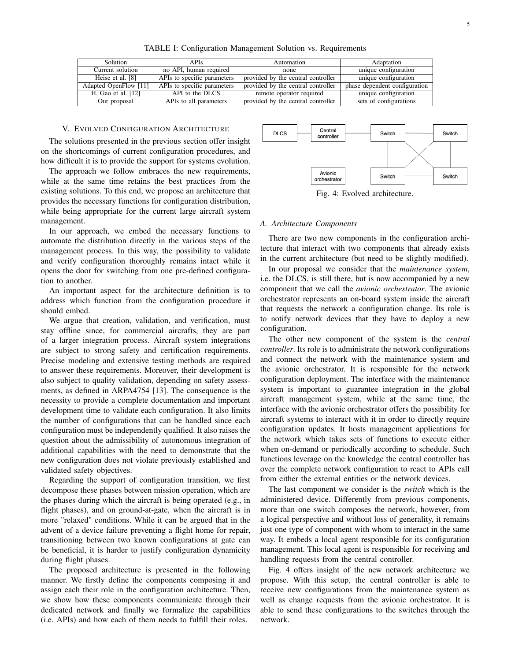| <b>Solution</b>       | APIs                        | Automation                         | Adaptation                    |
|-----------------------|-----------------------------|------------------------------------|-------------------------------|
| Current solution      | no API, human required      | none                               | unique configuration          |
| Heise et al. [8]      | APIs to specific parameters | provided by the central controller | unique configuration          |
| Adapted OpenFlow [11] | APIs to specific parameters | provided by the central controller | phase dependent configuration |
| H. Gao et al. [12]    | API to the DLCS             | remote operator required           | unique configuration          |
| Our proposal          | APIs to all parameters      | provided by the central controller | sets of configurations        |

TABLE I: Configuration Management Solution vs. Requirements

#### V. EVOLVED CONFIGURATION ARCHITECTURE

The solutions presented in the previous section offer insight on the shortcomings of current configuration procedures, and how difficult it is to provide the support for systems evolution.

The approach we follow embraces the new requirements, while at the same time retains the best practices from the existing solutions. To this end, we propose an architecture that provides the necessary functions for configuration distribution, while being appropriate for the current large aircraft system management.

In our approach, we embed the necessary functions to automate the distribution directly in the various steps of the management process. In this way, the possibility to validate and verify configuration thoroughly remains intact while it opens the door for switching from one pre-defined configuration to another.

An important aspect for the architecture definition is to address which function from the configuration procedure it should embed.

We argue that creation, validation, and verification, must stay offline since, for commercial aircrafts, they are part of a larger integration process. Aircraft system integrations are subject to strong safety and certification requirements. Precise modeling and extensive testing methods are required to answer these requirements. Moreover, their development is also subject to quality validation, depending on safety assessments, as defined in ARPA4754 [13]. The consequence is the necessity to provide a complete documentation and important development time to validate each configuration. It also limits the number of configurations that can be handled since each configuration must be independently qualified. It also raises the question about the admissibility of autonomous integration of additional capabilities with the need to demonstrate that the new configuration does not violate previously established and validated safety objectives.

Regarding the support of configuration transition, we first decompose these phases between mission operation, which are the phases during which the aircraft is being operated (e.g., in flight phases), and on ground-at-gate, when the aircraft is in more "relaxed" conditions. While it can be argued that in the advent of a device failure preventing a flight home for repair, transitioning between two known configurations at gate can be beneficial, it is harder to justify configuration dynamicity during flight phases.

The proposed architecture is presented in the following manner. We firstly define the components composing it and assign each their role in the configuration architecture. Then, we show how these components communicate through their dedicated network and finally we formalize the capabilities (i.e. APIs) and how each of them needs to fulfill their roles.



Fig. 4: Evolved architecture.

#### *A. Architecture Components*

There are two new components in the configuration architecture that interact with two components that already exists in the current architecture (but need to be slightly modified).

In our proposal we consider that the *maintenance system*, i.e. the DLCS, is still there, but is now accompanied by a new component that we call the *avionic orchestrator*. The avionic orchestrator represents an on-board system inside the aircraft that requests the network a configuration change. Its role is to notify network devices that they have to deploy a new configuration.

The other new component of the system is the *central controller*. Its role is to administrate the network configurations and connect the network with the maintenance system and the avionic orchestrator. It is responsible for the network configuration deployment. The interface with the maintenance system is important to guarantee integration in the global aircraft management system, while at the same time, the interface with the avionic orchestrator offers the possibility for aircraft systems to interact with it in order to directly require configuration updates. It hosts management applications for the network which takes sets of functions to execute either when on-demand or periodically according to schedule. Such functions leverage on the knowledge the central controller has over the complete network configuration to react to APIs call from either the external entities or the network devices.

The last component we consider is the *switch* which is the administered device. Differently from previous components, more than one switch composes the network, however, from a logical perspective and without loss of generality, it remains just one type of component with whom to interact in the same way. It embeds a local agent responsible for its configuration management. This local agent is responsible for receiving and handling requests from the central controller.

Fig. 4 offers insight of the new network architecture we propose. With this setup, the central controller is able to receive new configurations from the maintenance system as well as change requests from the avionic orchestrator. It is able to send these configurations to the switches through the network.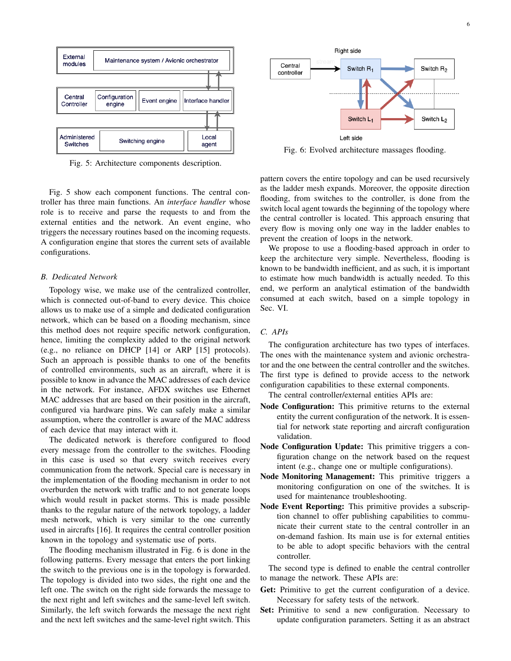

Fig. 5: Architecture components description.

Fig. 5 show each component functions. The central controller has three main functions. An *interface handler* whose role is to receive and parse the requests to and from the external entities and the network. An event engine, who triggers the necessary routines based on the incoming requests. A configuration engine that stores the current sets of available configurations.

#### *B. Dedicated Network*

Topology wise, we make use of the centralized controller, which is connected out-of-band to every device. This choice allows us to make use of a simple and dedicated configuration network, which can be based on a flooding mechanism, since this method does not require specific network configuration, hence, limiting the complexity added to the original network (e.g., no reliance on DHCP [14] or ARP [15] protocols). Such an approach is possible thanks to one of the benefits of controlled environments, such as an aircraft, where it is possible to know in advance the MAC addresses of each device in the network. For instance, AFDX switches use Ethernet MAC addresses that are based on their position in the aircraft, configured via hardware pins. We can safely make a similar assumption, where the controller is aware of the MAC address of each device that may interact with it.

The dedicated network is therefore configured to flood every message from the controller to the switches. Flooding in this case is used so that every switch receives every communication from the network. Special care is necessary in the implementation of the flooding mechanism in order to not overburden the network with traffic and to not generate loops which would result in packet storms. This is made possible thanks to the regular nature of the network topology, a ladder mesh network, which is very similar to the one currently used in aircrafts [16]. It requires the central controller position known in the topology and systematic use of ports.

The flooding mechanism illustrated in Fig. 6 is done in the following patterns. Every message that enters the port linking the switch to the previous one is in the topology is forwarded. The topology is divided into two sides, the right one and the left one. The switch on the right side forwards the message to the next right and left switches and the same-level left switch. Similarly, the left switch forwards the message the next right and the next left switches and the same-level right switch. This



Fig. 6: Evolved architecture massages flooding.

pattern covers the entire topology and can be used recursively as the ladder mesh expands. Moreover, the opposite direction flooding, from switches to the controller, is done from the switch local agent towards the beginning of the topology where the central controller is located. This approach ensuring that every flow is moving only one way in the ladder enables to prevent the creation of loops in the network.

We propose to use a flooding-based approach in order to keep the architecture very simple. Nevertheless, flooding is known to be bandwidth inefficient, and as such, it is important to estimate how much bandwidth is actually needed. To this end, we perform an analytical estimation of the bandwidth consumed at each switch, based on a simple topology in Sec. VI.

#### *C. APIs*

The configuration architecture has two types of interfaces. The ones with the maintenance system and avionic orchestrator and the one between the central controller and the switches. The first type is defined to provide access to the network configuration capabilities to these external components.

The central controller/external entities APIs are:

- Node Configuration: This primitive returns to the external entity the current configuration of the network. It is essential for network state reporting and aircraft configuration validation.
- Node Configuration Update: This primitive triggers a configuration change on the network based on the request intent (e.g., change one or multiple configurations).
- Node Monitoring Management: This primitive triggers a monitoring configuration on one of the switches. It is used for maintenance troubleshooting.
- Node Event Reporting: This primitive provides a subscription channel to offer publishing capabilities to communicate their current state to the central controller in an on-demand fashion. Its main use is for external entities to be able to adopt specific behaviors with the central controller.

The second type is defined to enable the central controller to manage the network. These APIs are:

- Get: Primitive to get the current configuration of a device. Necessary for safety tests of the network.
- Set: Primitive to send a new configuration. Necessary to update configuration parameters. Setting it as an abstract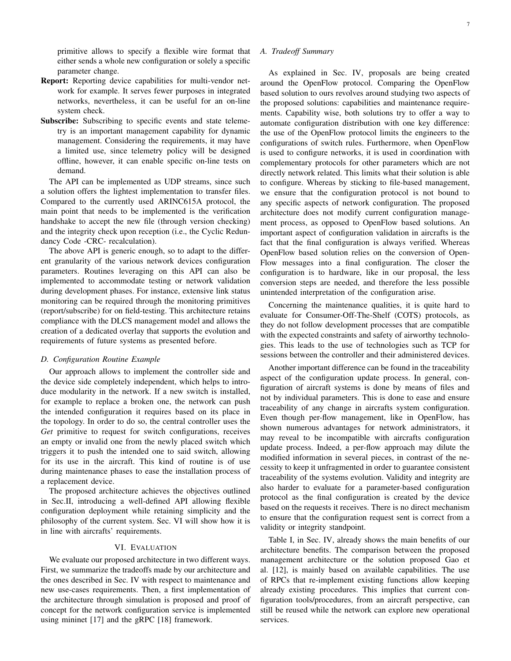primitive allows to specify a flexible wire format that either sends a whole new configuration or solely a specific parameter change.

- Report: Reporting device capabilities for multi-vendor network for example. It serves fewer purposes in integrated networks, nevertheless, it can be useful for an on-line system check.
- Subscribe: Subscribing to specific events and state telemetry is an important management capability for dynamic management. Considering the requirements, it may have a limited use, since telemetry policy will be designed offline, however, it can enable specific on-line tests on demand.

The API can be implemented as UDP streams, since such a solution offers the lightest implementation to transfer files. Compared to the currently used ARINC615A protocol, the main point that needs to be implemented is the verification handshake to accept the new file (through version checking) and the integrity check upon reception (i.e., the Cyclic Redundancy Code -CRC- recalculation).

The above API is generic enough, so to adapt to the different granularity of the various network devices configuration parameters. Routines leveraging on this API can also be implemented to accommodate testing or network validation during development phases. For instance, extensive link status monitoring can be required through the monitoring primitives (report/subscribe) for on field-testing. This architecture retains compliance with the DLCS management model and allows the creation of a dedicated overlay that supports the evolution and requirements of future systems as presented before.

#### *D. Configuration Routine Example*

Our approach allows to implement the controller side and the device side completely independent, which helps to introduce modularity in the network. If a new switch is installed, for example to replace a broken one, the network can push the intended configuration it requires based on its place in the topology. In order to do so, the central controller uses the *Get* primitive to request for switch configurations, receives an empty or invalid one from the newly placed switch which triggers it to push the intended one to said switch, allowing for its use in the aircraft. This kind of routine is of use during maintenance phases to ease the installation process of a replacement device.

The proposed architecture achieves the objectives outlined in Sec.II, introducing a well-defined API allowing flexible configuration deployment while retaining simplicity and the philosophy of the current system. Sec. VI will show how it is in line with aircrafts' requirements.

#### VI. EVALUATION

We evaluate our proposed architecture in two different ways. First, we summarize the tradeoffs made by our architecture and the ones described in Sec. IV with respect to maintenance and new use-cases requirements. Then, a first implementation of the architecture through simulation is proposed and proof of concept for the network configuration service is implemented using mininet [17] and the gRPC [18] framework.

#### *A. Tradeoff Summary*

As explained in Sec. IV, proposals are being created around the OpenFlow protocol. Comparing the OpenFlow based solution to ours revolves around studying two aspects of the proposed solutions: capabilities and maintenance requirements. Capability wise, both solutions try to offer a way to automate configuration distribution with one key difference: the use of the OpenFlow protocol limits the engineers to the configurations of switch rules. Furthermore, when OpenFlow is used to configure networks, it is used in coordination with complementary protocols for other parameters which are not directly network related. This limits what their solution is able to configure. Whereas by sticking to file-based management, we ensure that the configuration protocol is not bound to any specific aspects of network configuration. The proposed architecture does not modify current configuration management process, as opposed to OpenFlow based solutions. An important aspect of configuration validation in aircrafts is the fact that the final configuration is always verified. Whereas OpenFlow based solution relies on the conversion of Open-Flow messages into a final configuration. The closer the configuration is to hardware, like in our proposal, the less conversion steps are needed, and therefore the less possible unintended interpretation of the configuration arise.

Concerning the maintenance qualities, it is quite hard to evaluate for Consumer-Off-The-Shelf (COTS) protocols, as they do not follow development processes that are compatible with the expected constraints and safety of airworthy technologies. This leads to the use of technologies such as TCP for sessions between the controller and their administered devices.

Another important difference can be found in the traceability aspect of the configuration update process. In general, configuration of aircraft systems is done by means of files and not by individual parameters. This is done to ease and ensure traceability of any change in aircrafts system configuration. Even though per-flow management, like in OpenFlow, has shown numerous advantages for network administrators, it may reveal to be incompatible with aircrafts configuration update process. Indeed, a per-flow approach may dilute the modified information in several pieces, in contrast of the necessity to keep it unfragmented in order to guarantee consistent traceability of the systems evolution. Validity and integrity are also harder to evaluate for a parameter-based configuration protocol as the final configuration is created by the device based on the requests it receives. There is no direct mechanism to ensure that the configuration request sent is correct from a validity or integrity standpoint.

Table I, in Sec. IV, already shows the main benefits of our architecture benefits. The comparison between the proposed management architecture or the solution proposed Gao et al. [12], is mainly based on available capabilities. The use of RPCs that re-implement existing functions allow keeping already existing procedures. This implies that current configuration tools/procedures, from an aircraft perspective, can still be reused while the network can explore new operational services.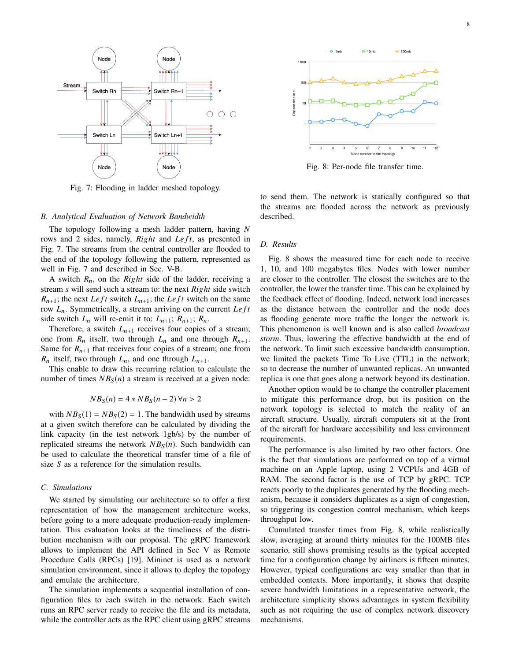



Fig. 7: Flooding in ladder meshed topology.

#### *B. Analytical Evaluation of Network Bandwidth*

The topology following a mesh ladder pattern, having *N* rows and 2 sides, namely, *Right* and *Left*, as presented in Fig. 7. The streams from the central controller are flooded to the end of the topology following the pattern, represented as well in Fig. 7 and described in Sec. V-B.

A switch  $R_n$ , on the *Right* side of the ladder, receiving a stream *s* will send such a stream to: the next *Ri*g*ht* side switch  $R_{n+1}$ ; the next *Le ft* switch  $L_{n+1}$ ; the *Le ft* switch on the same row  $L_n$ . Symmetrically, a stream arriving on the current *Left* side switch  $L_n$  will re-emit it to:  $L_{n+1}$ ;  $R_{n+1}$ ;  $R_n$ .

Therefore, a switch  $L_{n+1}$  receives four copies of a stream; one from  $R_n$  itself, two through  $L_n$  and one through  $R_{n+1}$ . Same for  $R_{n+1}$  that receives four copies of a stream; one from  $R_n$  itself, two through  $L_n$ , and one through  $L_{n+1}$ .

This enable to draw this recurring relation to calculate the number of times  $NB<sub>S</sub>(n)$  a stream is received at a given node:

$$
NB_S(n) = 4 * NB_S(n-2) \,\forall n > 2
$$

with  $NB<sub>S</sub>(1) = NB<sub>S</sub>(2) = 1$ . The bandwidth used by streams at a given switch therefore can be calculated by dividing the link capacity (in the test network 1gb/s) by the number of replicated streams the network  $NB_S(n)$ . Such bandwidth can be used to calculate the theoretical transfer time of a file of size *S* as a reference for the simulation results.

#### *C. Simulations*

We started by simulating our architecture so to offer a first representation of how the management architecture works, before going to a more adequate production-ready implementation. This evaluation looks at the timeliness of the distribution mechanism with our proposal. The gRPC framework allows to implement the API defined in Sec V as Remote Procedure Calls (RPCs) [19]. Mininet is used as a network simulation environment, since it allows to deploy the topology and emulate the architecture.

The simulation implements a sequential installation of configuration files to each switch in the network. Each switch runs an RPC server ready to receive the file and its metadata, while the controller acts as the RPC client using gRPC streams



Fig. 8: Per-node file transfer time.

to send them. The network is statically configured so that the streams are flooded across the network as previously described.

#### *D. Results*

Fig. 8 shows the measured time for each node to receive 1, 10, and 100 megabytes files. Nodes with lower number are closer to the controller. The closest the switches are to the controller, the lower the transfer time. This can be explained by the feedback effect of flooding. Indeed, network load increases as the distance between the controller and the node does as flooding generate more traffic the longer the network is. This phenomenon is well known and is also called *broadcast storm*. Thus, lowering the effective bandwidth at the end of the network. To limit such excessive bandwidth consumption, we limited the packets Time To Live (TTL) in the network, so to decrease the number of unwanted replicas. An unwanted replica is one that goes along a network beyond its destination.

Another option would be to change the controller placement to mitigate this performance drop, but its position on the network topology is selected to match the reality of an aircraft structure. Usually, aircraft computers sit at the front of the aircraft for hardware accessibility and less environment requirements.

The performance is also limited by two other factors. One is the fact that simulations are performed on top of a virtual machine on an Apple laptop, using 2 VCPUs and 4GB of RAM. The second factor is the use of TCP by gRPC. TCP reacts poorly to the duplicates generated by the flooding mechanism, because it considers duplicates as a sign of congestion, so triggering its congestion control mechanism, which keeps throughput low.

Cumulated transfer times from Fig. 8, while realistically slow, averaging at around thirty minutes for the 100MB files scenario, still shows promising results as the typical accepted time for a configuration change by airliners is fifteen minutes. However, typical configurations are way smaller than that in embedded contexts. More importantly, it shows that despite severe bandwidth limitations in a representative network, the architecture simplicity shows advantages in system flexibility such as not requiring the use of complex network discovery mechanisms.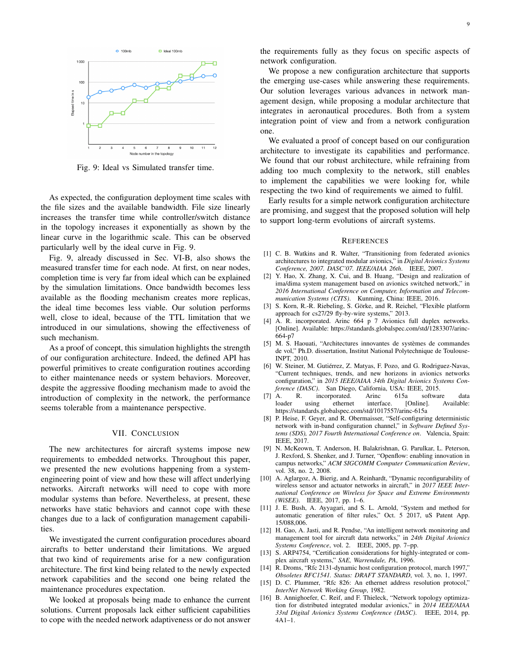

Fig. 9: Ideal vs Simulated transfer time.

As expected, the configuration deployment time scales with the file sizes and the available bandwidth. File size linearly increases the transfer time while controller/switch distance in the topology increases it exponentially as shown by the linear curve in the logarithmic scale. This can be observed particularly well by the ideal curve in Fig. 9.

Fig. 9, already discussed in Sec. VI-B, also shows the measured transfer time for each node. At first, on near nodes, completion time is very far from ideal which can be explained by the simulation limitations. Once bandwidth becomes less available as the flooding mechanism creates more replicas, the ideal time becomes less viable. Our solution performs well, close to ideal, because of the TTL limitation that we introduced in our simulations, showing the effectiveness of such mechanism.

As a proof of concept, this simulation highlights the strength of our configuration architecture. Indeed, the defined API has powerful primitives to create configuration routines according to either maintenance needs or system behaviors. Moreover, despite the aggressive flooding mechanism made to avoid the introduction of complexity in the network, the performance seems tolerable from a maintenance perspective.

#### VII. CONCLUSION

The new architectures for aircraft systems impose new requirements to embedded networks. Throughout this paper, we presented the new evolutions happening from a systemengineering point of view and how these will affect underlying networks. Aircraft networks will need to cope with more modular systems than before. Nevertheless, at present, these networks have static behaviors and cannot cope with these changes due to a lack of configuration management capabilities.

We investigated the current configuration procedures aboard aircrafts to better understand their limitations. We argued that two kind of requirements arise for a new configuration architecture. The first kind being related to the newly expected network capabilities and the second one being related the maintenance procedures expectation.

We looked at proposals being made to enhance the current solutions. Current proposals lack either sufficient capabilities to cope with the needed network adaptiveness or do not answer

the requirements fully as they focus on specific aspects of network configuration.

We propose a new configuration architecture that supports the emerging use-cases while answering these requirements. Our solution leverages various advances in network management design, while proposing a modular architecture that integrates in aeronautical procedures. Both from a system integration point of view and from a network configuration one.

We evaluated a proof of concept based on our configuration architecture to investigate its capabilities and performance. We found that our robust architecture, while refraining from adding too much complexity to the network, still enables to implement the capabilities we were looking for, while respecting the two kind of requirements we aimed to fulfil.

Early results for a simple network configuration architecture are promising, and suggest that the proposed solution will help to support long-term evolutions of aircraft systems.

#### **REFERENCES**

- [1] C. B. Watkins and R. Walter, "Transitioning from federated avionics architectures to integrated modular avionics," in *Digital Avionics Systems Conference, 2007. DASC'07. IEEE/AIAA 26th*. IEEE, 2007.
- [2] Y. Hao, X. Zhang, X. Cui, and B. Huang, "Design and realization of ima/dima system management based on avionics switched network," in *2016 International Conference on Computer, Information and Telecommunication Systems (CITS)*. Kunming, China: IEEE, 2016.
- [3] S. Korn, R.-R. Riebeling, S. Görke, and R. Reichel, "Flexible platform approach for cs27/29 fly-by-wire systems," 2013.
- [4] A. R. incorporated. Arinc 664 p 7 Avionics full duplex networks. [Online]. Available: https://standards.globalspec.com/std/1283307/arinc-664-p7
- [5] M. S. Haouati, "Architectures innovantes de systèmes de commandes de vol," Ph.D. dissertation, Institut National Polytechnique de Toulouse-INPT, 2010.
- [6] W. Steiner, M. Gutiérrez, Z. Matyas, F. Pozo, and G. Rodriguez-Navas, "Current techniques, trends, and new horizons in avionics networks configuration," in *2015 IEEE/AIAA 34th Digital Avionics Systems Conference (DASC)*. San Diego, California, USA: IEEE, 2015.
- [7] A. R. incorporated. Arinc 615a software data loader using ethernet interface. [Online]. Available: https://standards.globalspec.com/std/1017557/arinc-615a
- [8] P. Heise, F. Geyer, and R. Obermaisser, "Self-configuring deterministic network with in-band configuration channel," in *Software Defined Systems (SDS), 2017 Fourth International Conference on*. Valencia, Spain: IEEE, 2017.
- [9] N. McKeown, T. Anderson, H. Balakrishnan, G. Parulkar, L. Peterson, J. Rexford, S. Shenker, and J. Turner, "Openflow: enabling innovation in campus networks," *ACM SIGCOMM Computer Communication Review*, vol. 38, no. 2, 2008.
- [10] A. Aglargoz, A. Bierig, and A. Reinhardt, "Dynamic reconfigurability of wireless sensor and actuator networks in aircraft," in *2017 IEEE International Conference on Wireless for Space and Extreme Environments (WiSEE)*. IEEE, 2017, pp. 1–6.
- [11] J. E. Bush, A. Ayyagari, and S. L. Arnold, "System and method for automatic generation of filter rules," Oct. 5 2017, uS Patent App. 15/088,006.
- [12] H. Gao, A. Jasti, and R. Pendse, "An intelligent network monitoring and management tool for aircraft data networks," in *24th Digital Avionics Systems Conference*, vol. 2. IEEE, 2005, pp. 7–pp.
- [13] S. ARP4754, "Certification considerations for highly-integrated or complex aircraft systems," *SAE, Warrendale, PA*, 1996.
- [14] R. Droms, "Rfc 2131-dynamic host configuration protocol, march 1997," *Obsoletes RFC1541. Status: DRAFT STANDARD*, vol. 3, no. 1, 1997.
- [15] D. C. Plummer, "Rfc 826: An ethernet address resolution protocol," *InterNet Network Working Group*, 1982.
- [16] B. Annighoefer, C. Reif, and F. Thieleck, "Network topology optimization for distributed integrated modular avionics," in *2014 IEEE/AIAA 33rd Digital Avionics Systems Conference (DASC)*. IEEE, 2014, pp. 4A1–1.